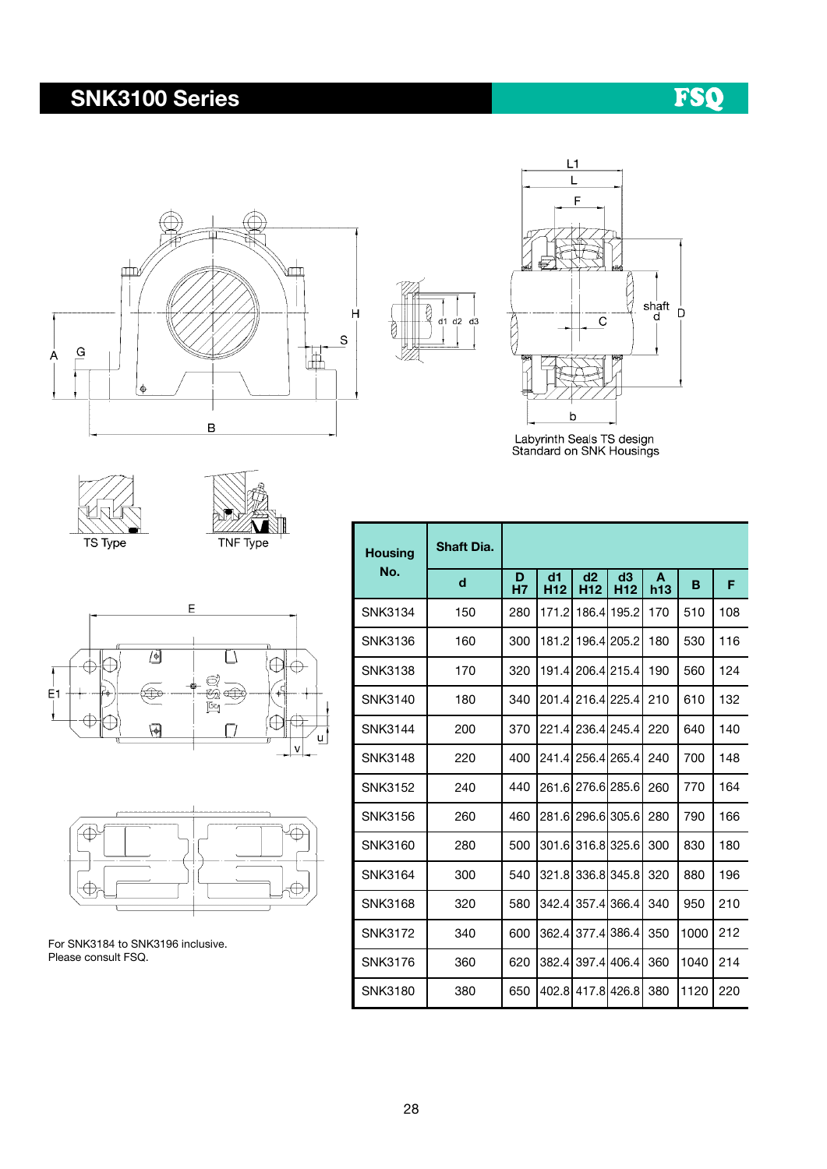## SNK3100 Series





 $\beta$ 

g

 $\overline{d}$ 1  $\overline{d}$ 2  $\overline{d}$ 3

Labyrinth Seals TS design<br>Standard on SNK Housings









For SNK3184 to SNK3196 inclusive. Please consult FSQ.

| <b>Housing</b> | <b>Shaft Dia.</b> |         |                       |                       |                       |          |      |     |  |  |  |  |  |
|----------------|-------------------|---------|-----------------------|-----------------------|-----------------------|----------|------|-----|--|--|--|--|--|
| No.            | d                 | D<br>H7 | d1<br>H <sub>12</sub> | d2<br>H <sub>12</sub> | d3<br>H <sub>12</sub> | A<br>h13 | B    | F   |  |  |  |  |  |
| <b>SNK3134</b> | 150               | 280     | 171.2                 |                       | 186.4 195.2           | 170      | 510  | 108 |  |  |  |  |  |
| <b>SNK3136</b> | 160               | 300     | 181.2                 |                       | 196.4 205.2           | 180      | 530  | 116 |  |  |  |  |  |
| <b>SNK3138</b> | 170               | 320     | 191.4                 |                       | 206.4 215.4           | 190      | 560  | 124 |  |  |  |  |  |
| SNK3140        | 180               | 340     | 201.4                 |                       | 216.4 225.4           | 210      | 610  | 132 |  |  |  |  |  |
| <b>SNK3144</b> | 200               | 370     | 221.4                 |                       | 236.4 245.4           | 220      | 640  | 140 |  |  |  |  |  |
| <b>SNK3148</b> | 220               | 400     | 241.4                 |                       | 256.4 265.4           | 240      | 700  | 148 |  |  |  |  |  |
| <b>SNK3152</b> | 240               | 440     | 261.6                 |                       | 276.6 285.6           | 260      | 770  | 164 |  |  |  |  |  |
| SNK3156        | 260               | 460     | 281.6                 |                       | 296.6 305.6           | 280      | 790  | 166 |  |  |  |  |  |
| SNK3160        | 280               | 500     | 301.6                 |                       | 316.8 325.6           | 300      | 830  | 180 |  |  |  |  |  |
| <b>SNK3164</b> | 300               | 540     | 321.8                 |                       | 336.8 345.8           | 320      | 880  | 196 |  |  |  |  |  |
| <b>SNK3168</b> | 320               | 580     | 342.4                 |                       | 357.4 366.4           | 340      | 950  | 210 |  |  |  |  |  |
| SNK3172        | 340               | 600     | 362.4                 |                       | 377.4 386.4           | 350      | 1000 | 212 |  |  |  |  |  |
| SNK3176        | 360               | 620     | 382.4                 |                       | 397.4 406.4           | 360      | 1040 | 214 |  |  |  |  |  |
| SNK3180        | 380               | 650     | 402.8                 |                       | 417.8 426.8           | 380      | 1120 | 220 |  |  |  |  |  |